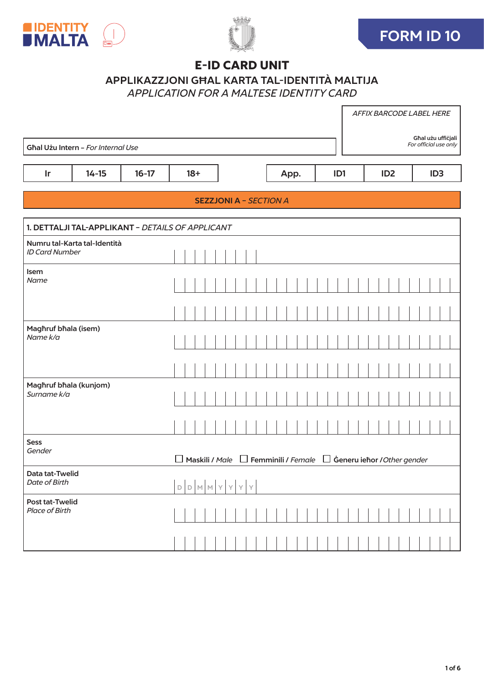





# E‑ID CARD UNIT

# APPLIKAZZJONI GĦAL KARTA TAL-IDENTITÀ MALTIJA

*APPLICATION FOR A MALTESE IDENTITY CARD*

|                                                 |                                                  |         |  |       |                |  |              |               |               |                               |      |  |     |  |  |                 |                                                              |  | AFFIX BARCODE LABEL HERE |                                             |
|-------------------------------------------------|--------------------------------------------------|---------|--|-------|----------------|--|--------------|---------------|---------------|-------------------------------|------|--|-----|--|--|-----------------|--------------------------------------------------------------|--|--------------------------|---------------------------------------------|
|                                                 | Għal Użu Intern - For Internal Use               |         |  |       |                |  |              |               |               |                               |      |  |     |  |  |                 |                                                              |  |                          | Għal użu ufficjali<br>For official use only |
|                                                 |                                                  |         |  |       |                |  |              |               |               |                               |      |  |     |  |  |                 |                                                              |  |                          |                                             |
| Ir                                              | $14 - 15$                                        | $16-17$ |  | $18+$ |                |  |              |               |               |                               | App. |  | ID1 |  |  | ID <sub>2</sub> |                                                              |  | ID <sub>3</sub>          |                                             |
|                                                 |                                                  |         |  |       |                |  |              |               |               | <b>SEZZJONI A - SECTION A</b> |      |  |     |  |  |                 |                                                              |  |                          |                                             |
|                                                 | 1. DETTALJI TAL-APPLIKANT - DETAILS OF APPLICANT |         |  |       |                |  |              |               |               |                               |      |  |     |  |  |                 |                                                              |  |                          |                                             |
| <b>ID Card Number</b>                           | Numru tal-Karta tal-Identità                     |         |  |       |                |  |              |               |               |                               |      |  |     |  |  |                 |                                                              |  |                          |                                             |
| Isem<br>Name                                    |                                                  |         |  |       |                |  |              |               |               |                               |      |  |     |  |  |                 |                                                              |  |                          |                                             |
|                                                 |                                                  |         |  |       |                |  |              |               |               |                               |      |  |     |  |  |                 |                                                              |  |                          |                                             |
| Maghruf bhala (isem)<br>Name k/a                |                                                  |         |  |       |                |  |              |               |               |                               |      |  |     |  |  |                 |                                                              |  |                          |                                             |
|                                                 |                                                  |         |  |       |                |  |              |               |               |                               |      |  |     |  |  |                 |                                                              |  |                          |                                             |
| Magħruf bħala (kunjom)<br>Surname k/a           |                                                  |         |  |       |                |  |              |               |               |                               |      |  |     |  |  |                 |                                                              |  |                          |                                             |
|                                                 |                                                  |         |  |       |                |  |              |               |               |                               |      |  |     |  |  |                 |                                                              |  |                          |                                             |
| <b>Sess</b><br>Gender                           |                                                  |         |  |       | Maskili / Male |  |              |               |               |                               |      |  |     |  |  |                 | $\Box$ Femminili / Female $\Box$ Generu iehor / Other gender |  |                          |                                             |
| Data tat-Twelid<br>Date of Birth                |                                                  |         |  |       | D D M M Y      |  | $\mathsf{Y}$ | $\bar{\rm Y}$ | $\bar{\rm Y}$ |                               |      |  |     |  |  |                 |                                                              |  |                          |                                             |
| <b>Post tat-Twelid</b><br><b>Place of Birth</b> |                                                  |         |  |       |                |  |              |               |               |                               |      |  |     |  |  |                 |                                                              |  |                          |                                             |
|                                                 |                                                  |         |  |       |                |  |              |               |               |                               |      |  |     |  |  |                 |                                                              |  |                          |                                             |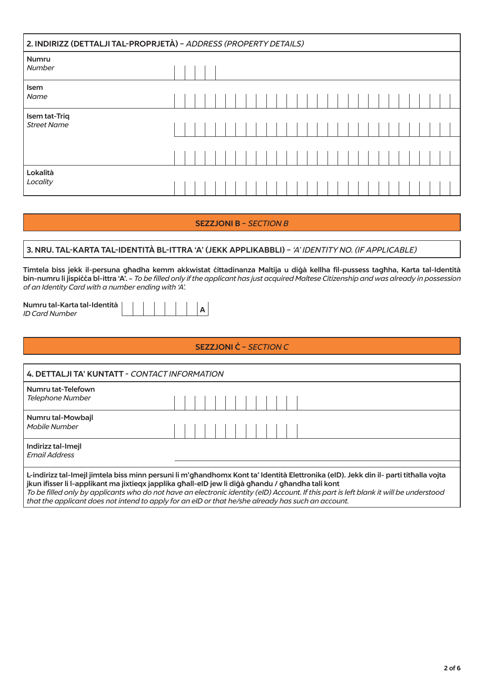| 2. INDIRIZZ (DETTALJI TAL-PROPRJETÀ) - ADDRESS (PROPERTY DETAILS) |  |  |  |  |  |  |  |  |  |  |  |  |  |  |
|-------------------------------------------------------------------|--|--|--|--|--|--|--|--|--|--|--|--|--|--|
| Numru<br>Number                                                   |  |  |  |  |  |  |  |  |  |  |  |  |  |  |
| Isem<br>Name                                                      |  |  |  |  |  |  |  |  |  |  |  |  |  |  |
| Isem tat-Triq<br><b>Street Name</b>                               |  |  |  |  |  |  |  |  |  |  |  |  |  |  |
|                                                                   |  |  |  |  |  |  |  |  |  |  |  |  |  |  |
| Lokalità<br>Locality                                              |  |  |  |  |  |  |  |  |  |  |  |  |  |  |

# SEZZJONI B – *SECTION B*

# 3. NRU. TAL-KARTA TAL-IDENTITÀ BL-ITTRA 'A' (JEKK APPLIKABBLI) – *'A' IDENTITY NO. (IF APPLICABLE)*

Timtela biss jekk il-persuna għadha kemm akkwistat ċittadinanza Maltija u diġà kellha fil-pussess tagħha, Karta tal-Identità bin-numru li jispiċċa bl-ittra 'A'. - *To be filled only if the applicant has just acquired Maltese Citizenship and was already in possession of an Identity Card with a number ending with 'A'.*

Numru tal-Karta tal-Identità *ID Card Number* 

# SEZZJONI Ċ – *SECTION C*

| 4. DETTALJI TA' KUNTATT - CONTACT INFORMATION                                                                                                                                                                                 |  |  |  |  |  |  |                                                                                                                                      |
|-------------------------------------------------------------------------------------------------------------------------------------------------------------------------------------------------------------------------------|--|--|--|--|--|--|--------------------------------------------------------------------------------------------------------------------------------------|
| Numru tat-Telefown<br>Telephone Number                                                                                                                                                                                        |  |  |  |  |  |  |                                                                                                                                      |
| Numru tal-Mowbajl<br>Mobile Number                                                                                                                                                                                            |  |  |  |  |  |  |                                                                                                                                      |
| Indirizz tal-Imejl<br><b>Fmail Address</b>                                                                                                                                                                                    |  |  |  |  |  |  |                                                                                                                                      |
| . The contract of the contract of the contract of the contract of the contract of the contract of the contract of the contract of the contract of the contract of the contract of the contract of the contract of the contrac |  |  |  |  |  |  | L-indirizz tal-Imejl jimtela biss minn persuni li m'għandhomx Kont ta' Identità Elettronika (eID). Jekk din il- parti titħalla vojta |

jkun ifisser li l-applikant ma jixtieqx japplika għall-eID jew li diġà għandu / għandha tali kont *To be filled only by applicants who do not have an electronic identity (eID) Account. If this part is left blank it will be understood that the applicant does not intend to apply for an eID or that he/she already has such an account.*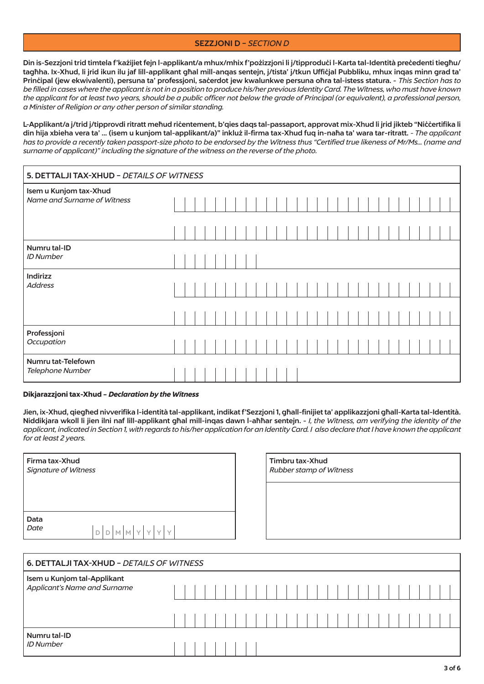### **SEZZJONI D - SECTION D**

Din is-Sezzjoni trid timtela f'każijiet fejn l-applikant/a mhux/mhix f'pożizzjoni li j/tipproduci l-Karta tal-Identità precedenti tiegħu/ tagħha. Ix-Xhud, li jrid ikun ilu jaf lill-applikant għal mill-anqas sentejn, j/tista' j/tkun Ufficjal Pubbliku, mhux inqas minn grad ta' Principal (jew ekwivalenti), persuna ta' professjoni, sacerdot jew kwalunkwe persuna ohra tal-istess statura. - This Section has to be filled in cases where the applicant is not in a position to produce his/her previous Identity Card. The Witness, who must have known the applicant for at least two vears, should be a public officer not below the arade of Principal (or eauivalent), a professional person, a Minister of Religion or any other person of similar standing.

L-Applikant/a j/trid j/tipprovdi ritratt meħud riċentement, b'qies daqs tal-passaport, approvat mix-Xhud li jrid jikteb "Niċċertifika li din hija xbieha vera ta' ... (isem u kunjom tal-applikant/a)" inkluż il-firma tax-Xhud fuq in-naha ta' wara tar-ritratt. - The applicant has to provide a recently taken passport-size photo to be endorsed by the Witness thus "Certified true likeness of Mr/Ms... (name and surname of applicant)" including the signature of the witness on the reverse of the photo.

| 5. DETTALJI TAX-XHUD - DETAILS OF WITNESS             |  |  |  |  |  |  |  |  |  |  |  |  |  |  |
|-------------------------------------------------------|--|--|--|--|--|--|--|--|--|--|--|--|--|--|
| Isem u Kunjom tax-Xhud<br>Name and Surname of Witness |  |  |  |  |  |  |  |  |  |  |  |  |  |  |
|                                                       |  |  |  |  |  |  |  |  |  |  |  |  |  |  |
| Numru tal-ID<br><b>ID Number</b>                      |  |  |  |  |  |  |  |  |  |  |  |  |  |  |
| Indirizz<br><b>Address</b>                            |  |  |  |  |  |  |  |  |  |  |  |  |  |  |
|                                                       |  |  |  |  |  |  |  |  |  |  |  |  |  |  |
| Professjoni<br>Occupation                             |  |  |  |  |  |  |  |  |  |  |  |  |  |  |
| Numru tat-Telefown<br>Telephone Number                |  |  |  |  |  |  |  |  |  |  |  |  |  |  |

#### Dikjarazzjoni tax-Xhud - Declaration by the Witness

Jien, ix-Xhud, qieghed nivverifika l-identità tal-applikant, indikat f'Sezzjoni 1, ghall-finijiet ta' applikazzjoni ghall-Karta tal-Identità. Niddikjara wkoll li jien ilni naf lill-applikant ghal mill-inqas dawn l-ahhar sentejn. - I, the Witness, am verifying the identity of the applicant, indicated in Section 1, with regards to his/her application for an Identity Card. I also declare that I have known the applicant for at least 2 years.

| Firma tax-Xhud<br><b>Signature of Witness</b> |                   |
|-----------------------------------------------|-------------------|
| Data<br>Date                                  | $D D M M Y Y Y Y$ |

Rubber stamp of Witness

Timbru tax-Xhud

| 6. DETTALJI TAX-XHUD - DETAILS OF WITNESS                   |  |  |  |  |  |  |  |  |  |  |  |  |  |  |
|-------------------------------------------------------------|--|--|--|--|--|--|--|--|--|--|--|--|--|--|
| Isem u Kunjom tal-Applikant<br>Applicant's Name and Surname |  |  |  |  |  |  |  |  |  |  |  |  |  |  |
|                                                             |  |  |  |  |  |  |  |  |  |  |  |  |  |  |
| Numru tal-ID<br><b>ID Number</b>                            |  |  |  |  |  |  |  |  |  |  |  |  |  |  |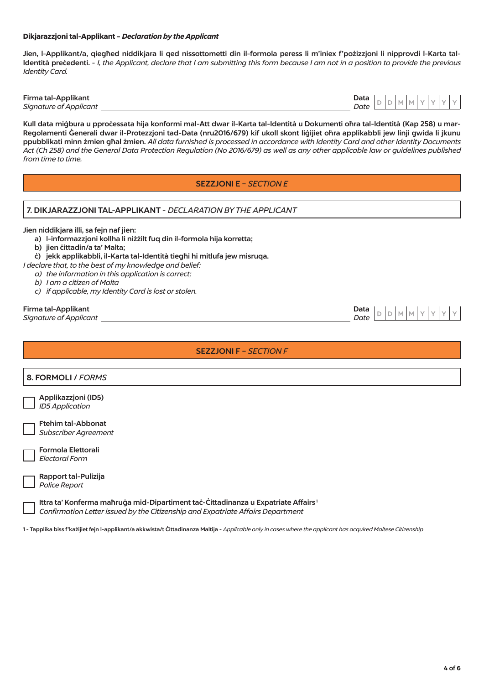#### Dikjarazzjoni tal-Applikant – *Declaration by the Applicant*

Jien, l-Applikant/a, qiegħed niddikjara li qed nissottometti din il-formola peress li m'iniex f'pożizzjoni li nipprovdi l-Karta tal-Identità precedenti. - *I, the Applicant, declare that I am submitting this form because I am not in a position to provide the previous Identity Card.*

Firma tal-Applikant Data **Signature of Applicant** 

 $D D M M Y Y$ 

Kull data miġbura u pproċessata hija konformi mal-Att dwar il-Karta tal-Identità u Dokumenti oħra tal-Identità (Kap 258) u mar-Regolamenti Ġenerali dwar il-Protezzjoni tad-Data (nru2016/679) kif ukoll skont liġijiet oħra applikabbli jew linji gwida li jkunu ppubblikati minn żmien għal żmien. *All data furnished is processed in accordance with Identity Card and other Identity Documents Act (Ch 258) and the General Data Protection Regulation (No 2016/679) as well as any other applicable law or guidelines published from time to time.*

# SEZZJONI E – *SECTION E*

### 7. DIKJARAZZJONI TAL-APPLIKANT - *DECLARATION BY THE APPLICANT*

#### Jien niddikjara illi, sa fejn naf jien:

- a) l-informazzjoni kollha li niżżilt fuq din il-formola hija korretta;
- b) jien ċittadin/a ta' Malta;
- ċ) jekk applikabbli, il-Karta tal-Identità tiegħi hi mitlufa jew misruqa.
- *I declare that, to the best of my knowledge and belief:*
	- *a) the information in this application is correct;*
	- *b) I am a citizen of Malta*
	- *c) if applicable, my Identity Card is lost or stolen.*

# Firma tal-Applikant<br>Signature of Applicant<br>Signature of Applicant

*Signature of Applicant*  $\overline{\phantom{a}}$ 

| <b>SEZZJONI F - SECTION F</b>                                                                                                                                                    |
|----------------------------------------------------------------------------------------------------------------------------------------------------------------------------------|
| 8. FORMOLI / FORMS                                                                                                                                                               |
|                                                                                                                                                                                  |
| Applikazzjoni (ID5)<br><b>ID5</b> Application                                                                                                                                    |
| <b>Ftehim tal-Abbonat</b><br><b>Subscriber Agreement</b>                                                                                                                         |
| <b>Formola Elettorali</b><br><b>Electoral Form</b>                                                                                                                               |
| Rapport tal-Pulizija<br>Police Report                                                                                                                                            |
| Ittra ta' Konferma maĥruġa mid-Dipartiment taċ-Ċittadinanza u Expatriate Affairs <sup>1</sup><br>Confirmation Letter issued by the Citizenship and Expatriate Affairs Department |

1 - Tapplika biss f'każijiet fejn l-applikant/a akkwista/t Ċittadinanza Maltija - *Applicable only in cases where the applicant has acquired Maltese Citizenship*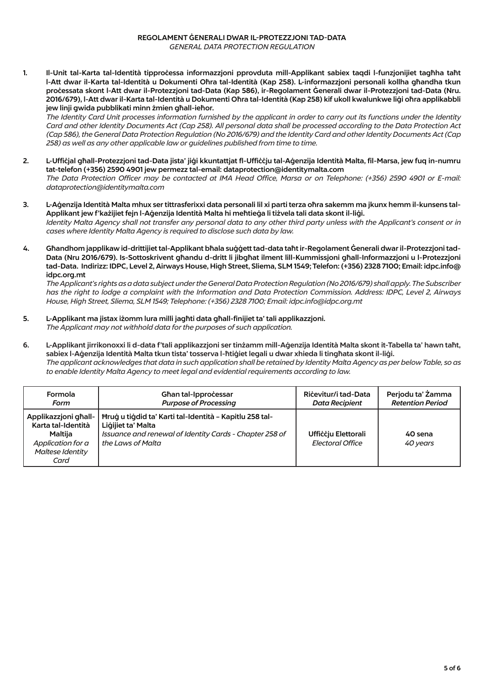#### REGOLAMENT ĠENERALI DWAR IL‑PROTEZZJONI TAD‑DATA *GENERAL DATA PROTECTION REGULATION*

1. Il-Unit tal-Karta tal-Identità tipproċessa informazzjoni pprovduta mill-Applikant sabiex taqdi l-funzjonijiet tagħha taħt l-Att dwar il-Karta tal-Identità u Dokumenti Oħra tal-Identità (Kap 258). L-informazzjoni personali kollha għandha tkun proċessata skont l-Att dwar il-Protezzjoni tad-Data (Kap 586), ir-Regolament Ġenerali dwar il-Protezzjoni tad-Data (Nru. 2016/679), l-Att dwar il-Karta tal-Identità u Dokumenti Oħra tal-Identità (Kap 258) kif ukoll kwalunkwe liġi oħra applikabbli jew linji gwida pubblikati minn żmien għall-ieħor.

*The Identity Card Unit processes information furnished by the applicant in order to carry out its functions under the Identity Card and other Identity Documents Act (Cap 258). All personal data shall be processed according to the Data Protection Act (Cap 586), the General Data Protection Regulation (No 2016/679) and the Identity Card and other Identity Documents Act (Cap 258) as well as any other applicable law or guidelines published from time to time.*

- 2. L-Uffiċjal għall-Protezzjoni tad-Data jista' jiġi kkuntattjat fl-Uffiċċju tal-Aġenzija Identità Malta, fil-Marsa, jew fuq in-numru tat-telefon (+356) 2590 4901 jew permezz tal-email: dataprotection@identitymalta.com *The Data Protection Officer may be contacted at IMA Head Office, Marsa or on Telephone: (+356) 2590 4901 or E-mail: dataprotection@identitymalta.com*
- 3. L-Aġenzija Identità Malta mhux ser tittrasferixxi data personali lil xi parti terza oħra sakemm ma jkunx hemm il-kunsens tal-Applikant jew f'każijiet fejn l-Aġenzija Identità Malta hi meħtieġa li tiżvela tali data skont il-liġi. *Identity Malta Agency shall not transfer any personal data to any other third party unless with the Applicant's consent or in cases where Identity Malta Agency is required to disclose such data by law.*
- 4. Għandhom japplikaw id-drittijiet tal-Applikant bħala suġġett tad-data taħt ir-Regolament Ġenerali dwar il-Protezzjoni tad-Data (Nru 2016/679). Is-Sottoskrivent għandu d-dritt li jibgħat ilment lill-Kummissjoni għall-Informazzjoni u l-Protezzjoni tad-Data. Indirizz: IDPC, Level 2, Airways House, High Street, Sliema, SLM 1549; Telefon: (+356) 2328 7100; Email: idpc.info@ idpc.org.mt

*The Applicant's rights as a data subject under the General Data Protection Regulation (No 2016/679) shall apply. The Subscriber has the right to lodge a complaint with the Information and Data Protection Commission. Address: IDPC, Level 2, Airways House, High Street, Sliema, SLM 1549; Telephone: (+356) 2328 7100; Email: idpc.info@idpc.org.mt* 

- 5. L-Applikant ma jistax iżomm lura milli jagħti data għall-finijiet ta' tali applikazzjoni. *The Applicant may not withhold data for the purposes of such application.*
- 6. L-Applikant jirrikonoxxi li d-data f'tali applikazzjoni ser tinżamm mill-Aġenzija Identità Malta skont it-Tabella ta' hawn taħt, sabiex l-Aġenzija Identità Malta tkun tista' tosserva l-ħtiġiet legali u dwar xhieda li tingħata skont il-liġi. *The applicant acknowledges that data in such application shall be retained by Identity Malta Agency as per below Table, so as to enable Identity Malta Agency to meet legal and evidential requirements according to law.*

| Formola                                                                                                | Ghan tal-Ipprocessar                                                                                                                                                 | Ricevitur/i tad-Data                           | Perjodu ta' Żamma       |
|--------------------------------------------------------------------------------------------------------|----------------------------------------------------------------------------------------------------------------------------------------------------------------------|------------------------------------------------|-------------------------|
| Form                                                                                                   | <b>Purpose of Processing</b>                                                                                                                                         | <b>Data Recipient</b>                          | <b>Retention Period</b> |
| Applikazzjoni għall-<br>Karta tal-Identità<br>Maltija<br>Application for a<br>Maltese Identity<br>Card | <b>Hrug u tigdid ta' Karti tal-Identità - Kapitlu 258 tal-</b><br>Ligijiet ta' Malta<br>Issuance and renewal of Identity Cards - Chapter 258 of<br>the Laws of Malta | Ufficciu Elettorali<br><b>Electoral Office</b> | 40 sena<br>40 vears     |